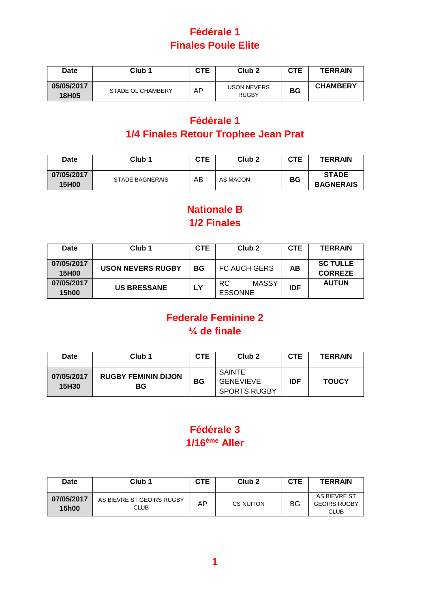# **Fédérale 1 Finales Poule Elite**

| <b>Date</b>         | Club <sub>1</sub> | <b>CTE</b> | Club <sub>2</sub>                  | CTE | <b>TERRAIN</b>  |
|---------------------|-------------------|------------|------------------------------------|-----|-----------------|
| 05/05/2017<br>18H05 | STADE OL CHAMBERY | AP         | <b>USON NEVERS</b><br><b>RUGBY</b> | BG  | <b>CHAMBERY</b> |

# **Fédérale 1 1/4 Finales Retour Trophee Jean Prat**

| Date                       | Club <sub>1</sub>      | CTE | Club <sub>2</sub> | <b>CTE</b> | <b>TERRAIN</b>                   |
|----------------------------|------------------------|-----|-------------------|------------|----------------------------------|
| 07/05/2017<br><b>15H00</b> | <b>STADE BAGNERAIS</b> | AB  | AS MACON          | BG         | <b>STADE</b><br><b>BAGNERAIS</b> |

### **Nationale B 1/2 Finales**

| <b>Date</b>                | Club <sub>1</sub>        | CTE       | Club <sub>2</sub>                     | <b>CTE</b> | <b>TERRAIN</b>                    |
|----------------------------|--------------------------|-----------|---------------------------------------|------------|-----------------------------------|
| 07/05/2017<br><b>15H00</b> | <b>USON NEVERS RUGBY</b> | <b>BG</b> | <b>FC AUCH GERS</b>                   | AB         | <b>SC TULLE</b><br><b>CORREZE</b> |
| 07/05/2017<br><b>15h00</b> | <b>US BRESSANE</b>       | <b>LY</b> | <b>MASSY</b><br>RC.<br><b>ESSONNE</b> | <b>IDF</b> | <b>AUTUN</b>                      |

## **Federale Feminine 2 ¼ de finale**

| <b>Date</b>         | Club <sub>1</sub>                | <b>CTE</b> | Club <sub>2</sub>                                 | <b>CTE</b> | <b>TERRAIN</b> |
|---------------------|----------------------------------|------------|---------------------------------------------------|------------|----------------|
| 07/05/2017<br>15H30 | <b>RUGBY FEMININ DIJON</b><br>BG | BG         | SAINTE<br><b>GENEVIEVE</b><br><b>SPORTS RUGBY</b> | <b>IDF</b> | <b>TOUCY</b>   |

### **Fédérale 3 1/16ème Aller**

| <b>Date</b>                | Club <sub>1</sub>                        | CTE | Club <sub>2</sub> | CTE | <b>TERRAIN</b>                                     |
|----------------------------|------------------------------------------|-----|-------------------|-----|----------------------------------------------------|
| 07/05/2017<br><b>15h00</b> | AS BIEVRE ST GEOIRS RUGBY<br><b>CLUB</b> | AP  | CS NUITON         | BG  | AS BIEVRE ST<br><b>GEOIRS RUGBY</b><br><b>CLUB</b> |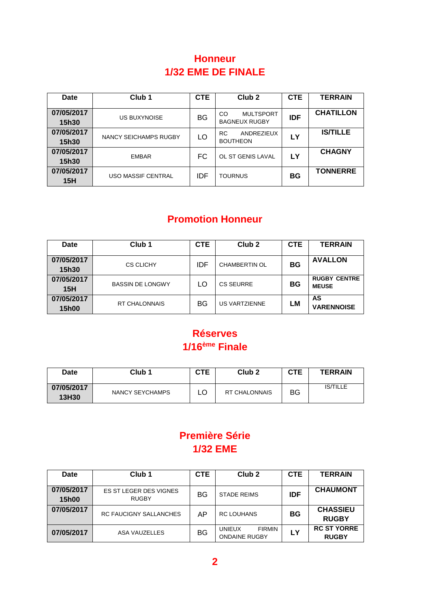#### **Honneur 1/32 EME DE FINALE**

| <b>Date</b>                | Club <sub>1</sub>     | <b>CTE</b> | Club <sub>2</sub>                              | <b>CTE</b> | <b>TERRAIN</b>   |
|----------------------------|-----------------------|------------|------------------------------------------------|------------|------------------|
| 07/05/2017<br><b>15h30</b> | <b>US BUXYNOISE</b>   | BG         | <b>MULTSPORT</b><br>CO<br><b>BAGNEUX RUGBY</b> | <b>IDF</b> | <b>CHATILLON</b> |
| 07/05/2017<br>15h30        | NANCY SEICHAMPS RUGBY | LO         | ANDREZIEUX<br>RC<br><b>BOUTHEON</b>            | <b>LY</b>  | <b>IS/TILLE</b>  |
| 07/05/2017<br>15h30        | <b>EMBAR</b>          | FC         | OL ST GENIS LAVAL                              | <b>LY</b>  | <b>CHAGNY</b>    |
| 07/05/2017<br>15H          | USO MASSIF CENTRAL    | IDF        | <b>TOURNUS</b>                                 | BG         | <b>TONNERRE</b>  |

#### **Promotion Honneur**

| <b>Date</b>                | Club <sub>1</sub>       | <b>CTE</b> | Club <sub>2</sub>    | <b>CTE</b> | <b>TERRAIN</b>                      |
|----------------------------|-------------------------|------------|----------------------|------------|-------------------------------------|
| 07/05/2017<br><b>15h30</b> | <b>CS CLICHY</b>        | IDF        | <b>CHAMBERTIN OL</b> | ΒG         | <b>AVALLON</b>                      |
| 07/05/2017<br><b>15H</b>   | <b>BASSIN DE LONGWY</b> | LO         | <b>CS SEURRE</b>     | BG         | <b>RUGBY CENTRE</b><br><b>MEUSE</b> |
| 07/05/2017<br><b>15h00</b> | <b>RT CHALONNAIS</b>    | <b>BG</b>  | <b>US VARTZIENNE</b> | LМ         | AS<br><b>VARENNOISE</b>             |

#### **Réserves 1/16ème Finale**

| Date                | Club <sub>1</sub> | CTE | Club <sub>2</sub>    | CTE | <b>TERRAIN</b>  |
|---------------------|-------------------|-----|----------------------|-----|-----------------|
| 07/05/2017<br>13H30 | NANCY SEYCHAMPS   |     | <b>RT CHALONNAIS</b> | BG  | <b>IS/TILLE</b> |

# **Première Série 1/32 EME**

| <b>Date</b>                | Club <sub>1</sub>                      | <b>CTE</b> | Club <sub>2</sub>                                      | <b>CTE</b> | <b>TERRAIN</b>                     |
|----------------------------|----------------------------------------|------------|--------------------------------------------------------|------------|------------------------------------|
| 07/05/2017<br><b>15h00</b> | ES ST LEGER DES VIGNES<br><b>RUGBY</b> | BG         | <b>STADE REIMS</b>                                     | <b>IDF</b> | <b>CHAUMONT</b>                    |
| 07/05/2017                 | <b>RC FAUCIGNY SALLANCHES</b>          | ΑP         | <b>RC LOUHANS</b>                                      | BG         | <b>CHASSIEU</b><br><b>RUGBY</b>    |
| 07/05/2017                 | <b>ASA VAUZELLES</b>                   | BG         | <b>FIRMIN</b><br><b>UNIEUX</b><br><b>ONDAINE RUGBY</b> | LУ         | <b>RC ST YORRE</b><br><b>RUGBY</b> |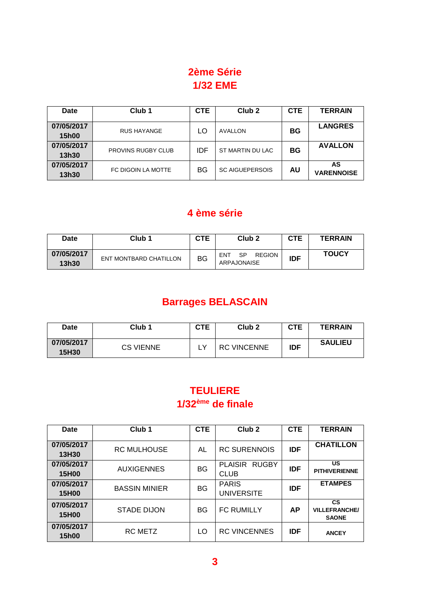# **2ème Série 1/32 EME**

| Date                       | Club <sub>1</sub>         | <b>CTE</b> | Club <sub>2</sub>      | <b>CTE</b> | <b>TERRAIN</b>          |
|----------------------------|---------------------------|------------|------------------------|------------|-------------------------|
| 07/05/2017<br><b>15h00</b> | <b>RUS HAYANGE</b>        | LO         | AVALLON                | BG         | <b>LANGRES</b>          |
| 07/05/2017<br>13h30        | <b>PROVINS RUGBY CLUB</b> | IDF        | ST MARTIN DU LAC       | <b>BG</b>  | <b>AVALLON</b>          |
| 07/05/2017<br>13h30        | FC DIGOIN LA MOTTE        | BG         | <b>SC AIGUEPERSOIS</b> | AU         | AS<br><b>VARENNOISE</b> |

### **4 ème série**

| Date                | Club 1                 | CTE | Club <sub>2</sub>                                | CTE        | <b>TERRAIN</b> |
|---------------------|------------------------|-----|--------------------------------------------------|------------|----------------|
| 07/05/2017<br>13h30 | ENT MONTBARD CHATILLON | BG  | <b>SP</b><br><b>REGION</b><br>ENT<br>ARPAJONAISE | <b>IDF</b> | <b>TOUCY</b>   |

# **Barrages BELASCAIN**

| Date                | Club <sub>1</sub> | CTE | Club <sub>2</sub>  | <b>CTE</b> | <b>TERRAIN</b> |
|---------------------|-------------------|-----|--------------------|------------|----------------|
| 07/05/2017<br>15H30 | <b>CS VIENNE</b>  |     | <b>RC VINCENNE</b> | <b>IDF</b> | <b>SAULIEU</b> |

## **TEULIERE 1/32ème de finale**

| Date                       | Club <sub>1</sub>    | <b>CTE</b> | Club <sub>2</sub>                 | <b>CTE</b> | <b>TERRAIN</b>                                    |
|----------------------------|----------------------|------------|-----------------------------------|------------|---------------------------------------------------|
| 07/05/2017<br>13H30        | <b>RC MULHOUSE</b>   | AL         | <b>RC SURENNOIS</b>               | <b>IDF</b> | <b>CHATILLON</b>                                  |
| 07/05/2017<br><b>15H00</b> | <b>AUXIGENNES</b>    | <b>BG</b>  | PLAISIR RUGBY<br><b>CLUB</b>      | <b>IDF</b> | US<br><b>PITHIVERIENNE</b>                        |
| 07/05/2017<br><b>15H00</b> | <b>BASSIN MINIER</b> | <b>BG</b>  | <b>PARIS</b><br><b>UNIVERSITE</b> | <b>IDF</b> | <b>ETAMPES</b>                                    |
| 07/05/2017<br><b>15H00</b> | <b>STADE DIJON</b>   | BG         | <b>FC RUMILLY</b>                 | <b>AP</b>  | <b>CS</b><br><b>VILLEFRANCHE/</b><br><b>SAONE</b> |
| 07/05/2017<br><b>15h00</b> | <b>RC METZ</b>       | LO         | <b>RC VINCENNES</b>               | <b>IDF</b> | <b>ANCEY</b>                                      |